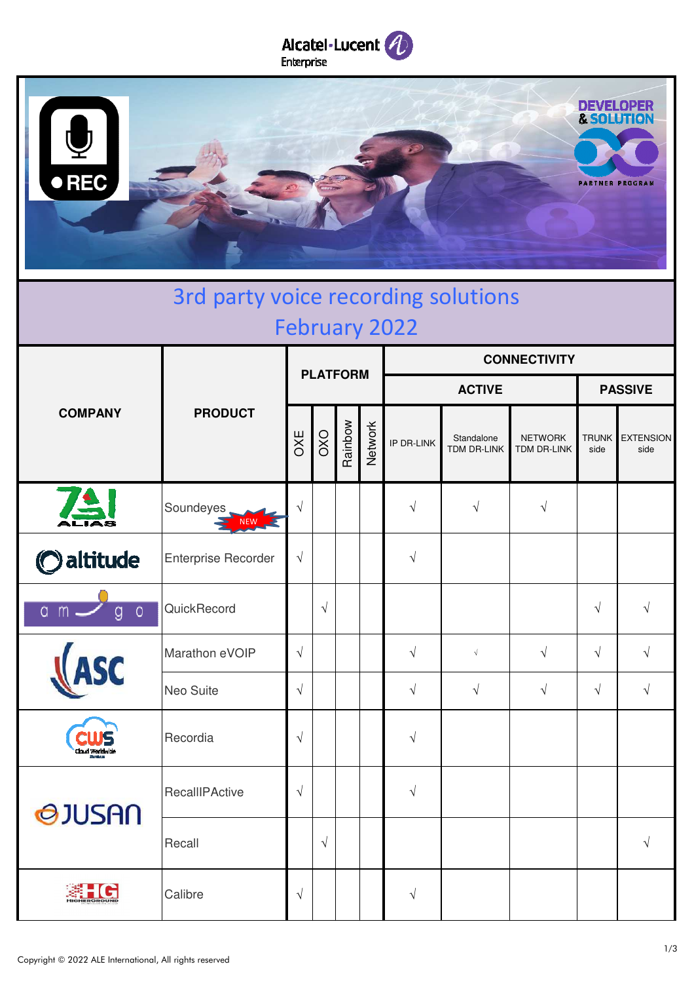



| 3rd party voice recording solutions<br><b>February 2022</b> |                            |                 |            |         |         |                     |                           |                               |                      |                          |  |
|-------------------------------------------------------------|----------------------------|-----------------|------------|---------|---------|---------------------|---------------------------|-------------------------------|----------------------|--------------------------|--|
| <b>COMPANY</b>                                              | <b>PRODUCT</b>             | <b>PLATFORM</b> |            |         |         | <b>CONNECTIVITY</b> |                           |                               |                      |                          |  |
|                                                             |                            |                 |            |         |         | <b>ACTIVE</b>       |                           |                               | <b>PASSIVE</b>       |                          |  |
|                                                             |                            | OXE             | OXO        | Rainbow | Network | IP DR-LINK          | Standalone<br>TDM DR-LINK | <b>NETWORK</b><br>TDM DR-LINK | <b>TRUNK</b><br>side | <b>EXTENSION</b><br>side |  |
|                                                             | Soundeyes<br>NEW           | $\sqrt{}$       |            |         |         | $\sqrt{}$           | $\sqrt{}$                 | $\sqrt{}$                     |                      |                          |  |
| Oaltitude                                                   | <b>Enterprise Recorder</b> | $\sqrt{ }$      |            |         |         | $\sqrt{}$           |                           |                               |                      |                          |  |
| m<br>$\circ$<br>g<br>α                                      | QuickRecord                |                 | $\sqrt{ }$ |         |         |                     |                           |                               | $\sqrt{}$            | $\sqrt{}$                |  |
|                                                             | Marathon eVOIP             | $\sqrt{}$       |            |         |         | $\sqrt{}$           | $\sqrt{ }$                | $\sqrt{ }$                    | $\sqrt{ }$           | $\sqrt{}$                |  |
|                                                             | Neo Suite                  | $\sqrt{}$       |            |         |         | $\sqrt{}$           | $\sqrt{}$                 | $\sqrt{ }$                    | $\sqrt{ }$           | $\sqrt{}$                |  |
| loud Worldwick                                              | Recordia                   | $\sqrt{}$       |            |         |         | $\sqrt{}$           |                           |                               |                      |                          |  |
| <b>QJUSAN</b>                                               | RecallIPActive             | $\sqrt{}$       |            |         |         |                     |                           |                               |                      |                          |  |
|                                                             | Recall                     |                 | $\sqrt{ }$ |         |         |                     |                           |                               |                      | $\sqrt{2}$               |  |
|                                                             | Calibre                    | $\sqrt{}$       |            |         |         | $\sqrt{}$           |                           |                               |                      |                          |  |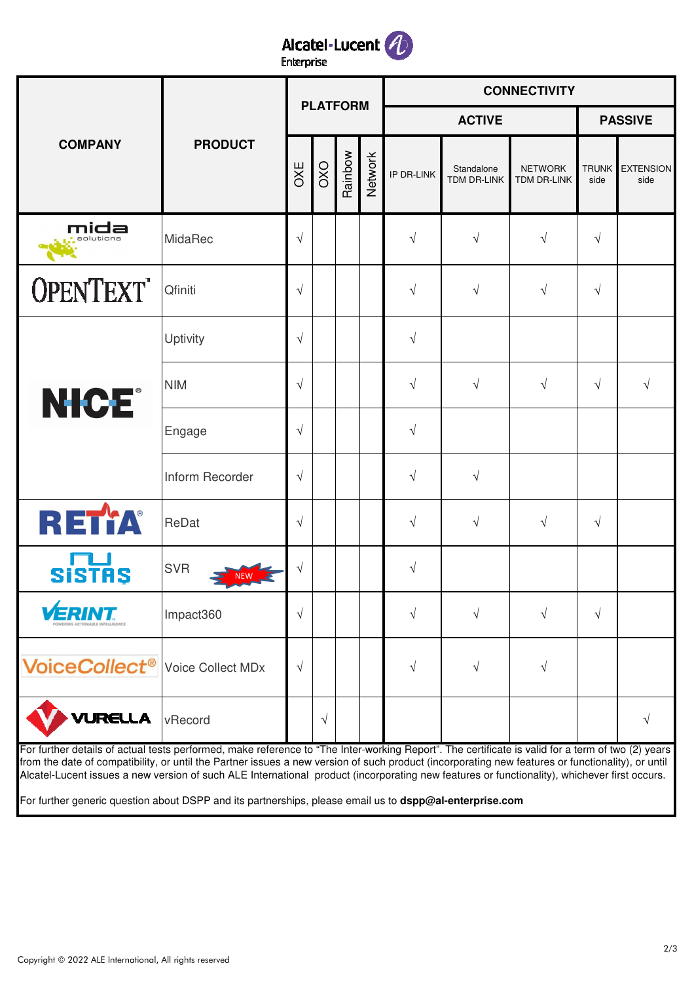

| <b>COMPANY</b>                                                                                                                                                                                                                                                                                                                                                                                                                                                                                                                                                    | <b>PRODUCT</b>    | <b>PLATFORM</b> |            |         |         | <b>CONNECTIVITY</b> |                                  |                               |                      |                          |  |
|-------------------------------------------------------------------------------------------------------------------------------------------------------------------------------------------------------------------------------------------------------------------------------------------------------------------------------------------------------------------------------------------------------------------------------------------------------------------------------------------------------------------------------------------------------------------|-------------------|-----------------|------------|---------|---------|---------------------|----------------------------------|-------------------------------|----------------------|--------------------------|--|
|                                                                                                                                                                                                                                                                                                                                                                                                                                                                                                                                                                   |                   |                 |            |         |         | <b>ACTIVE</b>       |                                  |                               | <b>PASSIVE</b>       |                          |  |
|                                                                                                                                                                                                                                                                                                                                                                                                                                                                                                                                                                   |                   | <b>OXE</b>      | OXO        | Rainbow | Network | IP DR-LINK          | Standalone<br><b>TDM DR-LINK</b> | <b>NETWORK</b><br>TDM DR-LINK | <b>TRUNK</b><br>side | <b>EXTENSION</b><br>side |  |
| mida<br>olutions                                                                                                                                                                                                                                                                                                                                                                                                                                                                                                                                                  | MidaRec           | $\sqrt{ }$      |            |         |         | $\sqrt{ }$          | V                                | $\sqrt{ }$                    | $\sqrt{ }$           |                          |  |
| <b>OPENTEXT</b>                                                                                                                                                                                                                                                                                                                                                                                                                                                                                                                                                   | Qfiniti           | $\sqrt{}$       |            |         |         | $\sqrt{ }$          | $\sqrt{ }$                       | $\sqrt{ }$                    | $\sqrt{}$            |                          |  |
|                                                                                                                                                                                                                                                                                                                                                                                                                                                                                                                                                                   | Uptivity          | $\sqrt{}$       |            |         |         | $\sqrt{ }$          |                                  |                               |                      |                          |  |
| <b>NICE®</b>                                                                                                                                                                                                                                                                                                                                                                                                                                                                                                                                                      | <b>NIM</b>        | $\sqrt{ }$      |            |         |         | $\sqrt{ }$          | $\sqrt{ }$                       | $\sqrt{ }$                    | $\sqrt{}$            | $\sqrt{ }$               |  |
|                                                                                                                                                                                                                                                                                                                                                                                                                                                                                                                                                                   | Engage            | $\sqrt{ }$      |            |         |         | $\sqrt{ }$          |                                  |                               |                      |                          |  |
|                                                                                                                                                                                                                                                                                                                                                                                                                                                                                                                                                                   | Inform Recorder   | $\sqrt{}$       |            |         |         | $\sqrt{ }$          | $\sqrt{}$                        |                               |                      |                          |  |
| RETYA                                                                                                                                                                                                                                                                                                                                                                                                                                                                                                                                                             | ReDat             | $\sqrt{}$       |            |         |         | $\sqrt{ }$          | $\sqrt{ }$                       | $\sqrt{ }$                    | $\sqrt{ }$           |                          |  |
| <b>SiSTAS</b>                                                                                                                                                                                                                                                                                                                                                                                                                                                                                                                                                     | <b>SVR</b>        | $\sqrt{}$       |            |         |         | V                   |                                  |                               |                      |                          |  |
|                                                                                                                                                                                                                                                                                                                                                                                                                                                                                                                                                                   | Impact360         | $\sqrt{}$       |            |         |         |                     |                                  | V                             | $\sqrt{ }$           |                          |  |
| <b>VoiceCollect<sup>®</sup></b>                                                                                                                                                                                                                                                                                                                                                                                                                                                                                                                                   | Voice Collect MDx | $\sqrt{}$       |            |         |         | $\sqrt{ }$          | V                                | $\sqrt{}$                     |                      |                          |  |
| <b>VURELLA</b>                                                                                                                                                                                                                                                                                                                                                                                                                                                                                                                                                    | vRecord           |                 | $\sqrt{ }$ |         |         |                     |                                  |                               |                      | V                        |  |
| For further details of actual tests performed, make reference to "The Inter-working Report". The certificate is valid for a term of two (2) years<br>from the date of compatibility, or until the Partner issues a new version of such product (incorporating new features or functionality), or until<br>Alcatel-Lucent issues a new version of such ALE International product (incorporating new features or functionality), whichever first occurs.<br>For further generic question about DSPP and its partnerships, please email us to dspp@al-enterprise.com |                   |                 |            |         |         |                     |                                  |                               |                      |                          |  |